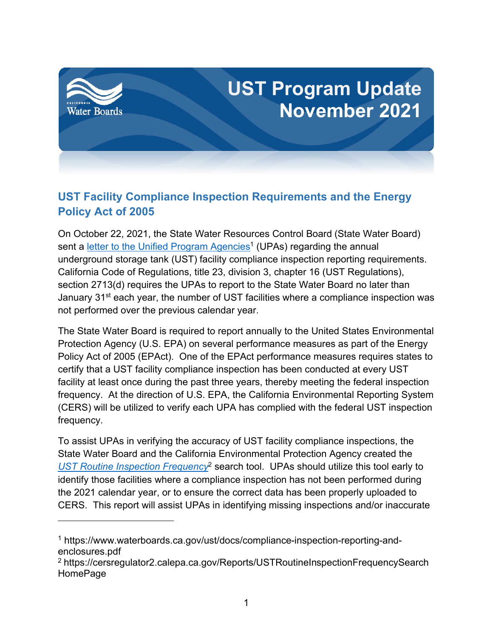

## **UST Facility Compliance Inspection Requirements and the Energy Policy Act of 2005**

On October 22, 2021, the State Water Resources Control Board (State Water Board) sent a <u>letter to the Unified Program Agencies</u><sup>[1](#page-0-0)</sup> (UPAs) regarding the annual underground storage tank (UST) facility compliance inspection reporting requirements. California Code of Regulations, title 23, division 3, chapter 16 (UST Regulations), section 2713(d) requires the UPAs to report to the State Water Board no later than January 31<sup>st</sup> each year, the number of UST facilities where a compliance inspection was not performed over the previous calendar year.

The State Water Board is required to report annually to the United States Environmental Protection Agency (U.S. EPA) on several performance measures as part of the Energy Policy Act of 2005 (EPAct). One of the EPAct performance measures requires states to certify that a UST facility compliance inspection has been conducted at every UST facility at least once during the past three years, thereby meeting the federal inspection frequency. At the direction of U.S. EPA, the California Environmental Reporting System (CERS) will be utilized to verify each UPA has complied with the federal UST inspection frequency.

To assist UPAs in verifying the accuracy of UST facility compliance inspections, the State Water Board and the California Environmental Protection Agency created the *UST [Routine Inspection Frequency](https://cersregulator2.calepa.ca.gov/Reports/USTRoutineInspectionFrequencySearch)*[2](#page-0-1) search tool. UPAs should utilize this tool early to identify those facilities where a compliance inspection has not been performed during the 2021 calendar year, or to ensure the correct data has been properly uploaded to CERS. This report will assist UPAs in identifying missing inspections and/or inaccurate

<span id="page-0-0"></span><sup>1</sup> https://www.waterboards.ca.gov/ust/docs/compliance-inspection-reporting-andenclosures.pdf

<span id="page-0-1"></span><sup>2</sup> [https://cersregulator2.calepa.ca.gov/Reports/USTRoutineInspectionFrequencySearch](https://cersregulator2.calepa.ca.gov/Reports/USTRoutineInspectionFrequencySearchHomePage) [HomePage](https://cersregulator2.calepa.ca.gov/Reports/USTRoutineInspectionFrequencySearchHomePage)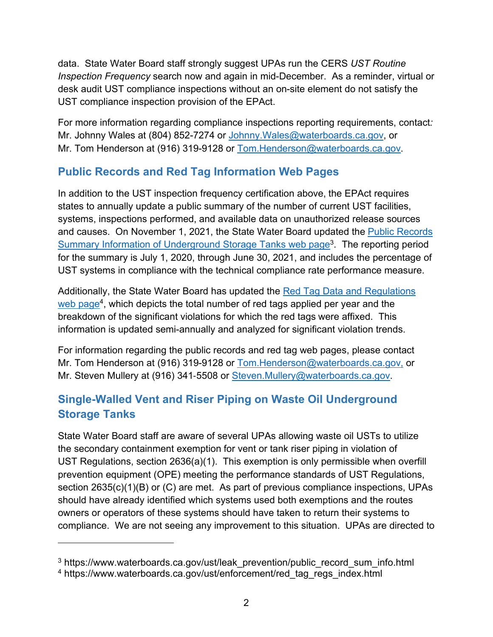data. State Water Board staff strongly suggest UPAs run the CERS *UST Routine Inspection Frequency* search now and again in mid-December. As a reminder, virtual or desk audit UST compliance inspections without an on-site element do not satisfy the UST compliance inspection provision of the EPAct.

For more information regarding compliance inspections reporting requirements, contact*:* Mr. Johnny Wales at (804) 852-7274 or [Johnny.Wales@waterboards.ca.gov](mailto:Johnny.Wales@waterboards.ca.gov), or Mr. Tom Henderson at (916) 319-9128 or [Tom.Henderson@waterboards.ca.gov.](mailto:Tom.Henderson@waterboards.ca.gov)

## **Public Records and Red Tag Information Web Pages**

In addition to the UST inspection frequency certification above, the EPAct requires states to annually update a public summary of the number of current UST facilities, systems, inspections performed, and available data on unauthorized release sources and causes. On November 1, 2021, the State Water Board updated the [Public Records](https://www.waterboards.ca.gov/ust/leak_prevention/public_record_sum_info.html)  [Summary Information of Underground Storage Tanks web](https://www.waterboards.ca.gov/ust/leak_prevention/public_record_sum_info.html) page<sup>[3](#page-1-0)</sup>. The reporting period for the summary is July 1, 2020, through June 30, 2021, and includes the percentage of UST systems in compliance with the technical compliance rate performance measure.

Additionally, the State Water Board has updated the [Red Tag Data and Regulations](https://www.waterboards.ca.gov/ust/enforcement/red_tag_regs_index.html)  web [page](https://www.waterboards.ca.gov/ust/enforcement/red_tag_regs_index.html)<sup>[4](#page-1-1)</sup>, which depicts the total number of red tags applied per year and the breakdown of the significant violations for which the red tags were affixed. This information is updated semi-annually and analyzed for significant violation trends.

For information regarding the public records and red tag web pages, please contact Mr. Tom Henderson at (916) 319-9128 or [Tom.Henderson@waterboards.ca.gov,](mailto:Tom.Henderson@waterboards.ca.gov) or Mr. Steven Mullery at (916) 341-5508 or [Steven.Mullery@waterboards.ca.gov](mailto:Steven.Mullery@waterboards.ca.gov).

## **Single-Walled Vent and Riser Piping on Waste Oil Underground Storage Tanks**

State Water Board staff are aware of several UPAs allowing waste oil USTs to utilize the secondary containment exemption for vent or tank riser piping in violation of UST Regulations, section 2636(a)(1). This exemption is only permissible when overfill prevention equipment (OPE) meeting the performance standards of UST Regulations, section 2635(c)(1)(B) or (C) are met. As part of previous compliance inspections, UPAs should have already identified which systems used both exemptions and the routes owners or operators of these systems should have taken to return their systems to compliance. We are not seeing any improvement to this situation. UPAs are directed to

<span id="page-1-0"></span><sup>&</sup>lt;sup>3</sup> [https://www.waterboards.ca.gov/ust/leak\\_prevention/public\\_record\\_sum\\_info.html](https://www.waterboards.ca.gov/ust/leak_prevention/public_record_sum_info.html)

<span id="page-1-1"></span><sup>4</sup> [https://www.waterboards.ca.gov/ust/enforcement/red\\_tag\\_regs\\_index.html](https://www.waterboards.ca.gov/ust/enforcement/red_tag_regs_index.html)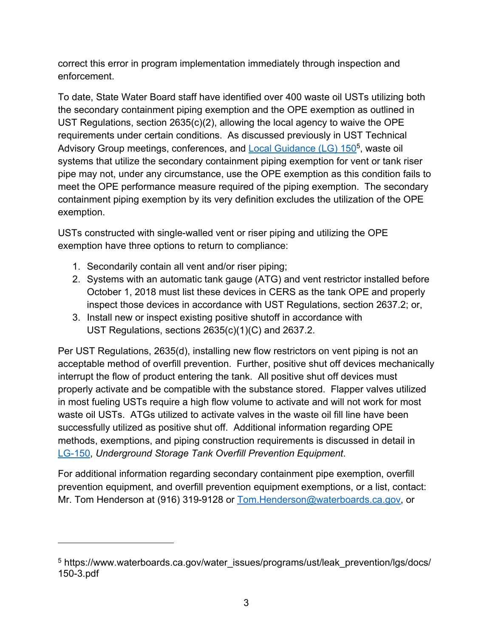correct this error in program implementation immediately through inspection and enforcement.

To date, State Water Board staff have identified over 400 waste oil USTs utilizing both the secondary containment piping exemption and the OPE exemption as outlined in UST Regulations, section 2635(c)(2), allowing the local agency to waive the OPE requirements under certain conditions. As discussed previously in UST Technical Advisory Group meetings, conferences, and [Local Guidance](https://www.waterboards.ca.gov/water_issues/programs/ust/leak_prevention/lgs/docs/150-3.pdf) (LG) 1[5](#page-2-0)0<sup>5</sup>, waste oil systems that utilize the secondary containment piping exemption for vent or tank riser pipe may not, under any circumstance, use the OPE exemption as this condition fails to meet the OPE performance measure required of the piping exemption. The secondary containment piping exemption by its very definition excludes the utilization of the OPE exemption.

USTs constructed with single-walled vent or riser piping and utilizing the OPE exemption have three options to return to compliance:

- 1. Secondarily contain all vent and/or riser piping;
- 2. Systems with an automatic tank gauge (ATG) and vent restrictor installed before October 1, 2018 must list these devices in CERS as the tank OPE and properly inspect those devices in accordance with UST Regulations, section 2637.2; or,
- 3. Install new or inspect existing positive shutoff in accordance with UST Regulations, sections 2635(c)(1)(C) and 2637.2.

Per UST Regulations, 2635(d), installing new flow restrictors on vent piping is not an acceptable method of overfill prevention. Further, positive shut off devices mechanically interrupt the flow of product entering the tank. All positive shut off devices must properly activate and be compatible with the substance stored. Flapper valves utilized in most fueling USTs require a high flow volume to activate and will not work for most waste oil USTs. ATGs utilized to activate valves in the waste oil fill line have been successfully utilized as positive shut off. Additional information regarding OPE methods, exemptions, and piping construction requirements is discussed in detail in [LG-150](https://www.waterboards.ca.gov/ust/leak_prevention/lgs/docs/150-3.pdf), *Underground Storage Tank Overfill Prevention Equipment*.

For additional information regarding secondary containment pipe exemption, overfill prevention equipment, and overfill prevention equipment exemptions, or a list, contact: Mr. Tom Henderson at (916) 319-9128 or [Tom.Henderson@waterboards.ca.gov,](mailto:Tom.Henderson@waterboards.ca.gov) or

<span id="page-2-0"></span><sup>&</sup>lt;sup>5</sup> https://www.waterboards.ca.gov/water\_issues/programs/ust/leak\_prevention/lgs/docs/ 150-3.pdf